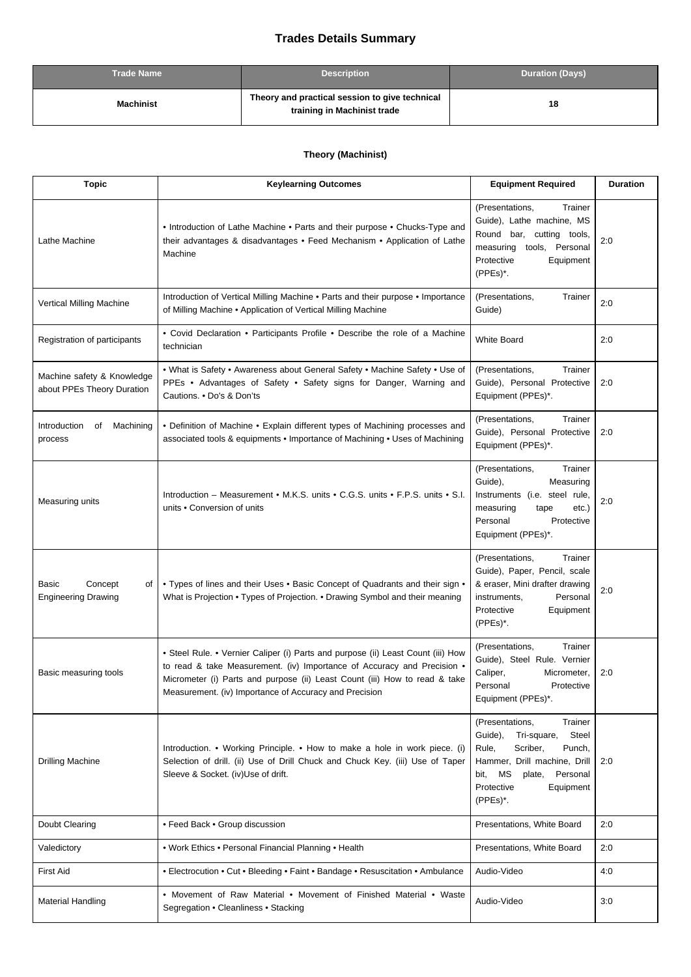## **Trades Details Summary**

| <b>Trade Name</b> | <b>Description</b>                                                            | <b>Duration (Days)</b> |
|-------------------|-------------------------------------------------------------------------------|------------------------|
| Machinist         | Theory and practical session to give technical<br>training in Machinist trade | 18                     |

## **Theory (Machinist)**

| <b>Topic</b>                                             | <b>Keylearning Outcomes</b>                                                                                                                                                                                                                                                                         | <b>Equipment Required</b>                                                                                                                                                                            | <b>Duration</b> |
|----------------------------------------------------------|-----------------------------------------------------------------------------------------------------------------------------------------------------------------------------------------------------------------------------------------------------------------------------------------------------|------------------------------------------------------------------------------------------------------------------------------------------------------------------------------------------------------|-----------------|
| Lathe Machine                                            | • Introduction of Lathe Machine • Parts and their purpose • Chucks-Type and<br>their advantages & disadvantages • Feed Mechanism • Application of Lathe<br>Machine                                                                                                                                  | (Presentations,<br>Trainer<br>Guide), Lathe machine, MS<br>Round bar, cutting tools,<br>measuring tools, Personal<br>Protective<br>Equipment<br>(PPEs)*.                                             | 2:0             |
| Vertical Milling Machine                                 | Introduction of Vertical Milling Machine . Parts and their purpose . Importance<br>of Milling Machine . Application of Vertical Milling Machine                                                                                                                                                     | (Presentations,<br>Trainer<br>Guide)                                                                                                                                                                 | 2:0             |
| Registration of participants                             | • Covid Declaration • Participants Profile • Describe the role of a Machine<br>technician                                                                                                                                                                                                           | <b>White Board</b>                                                                                                                                                                                   | 2:0             |
| Machine safety & Knowledge<br>about PPEs Theory Duration | • What is Safety • Awareness about General Safety • Machine Safety • Use of<br>PPEs . Advantages of Safety . Safety signs for Danger, Warning and<br>Cautions. • Do's & Don'ts                                                                                                                      | (Presentations,<br>Trainer<br>Guide), Personal Protective<br>Equipment (PPEs)*.                                                                                                                      | 2:0             |
| Introduction<br>Machining<br>οf<br>process               | • Definition of Machine • Explain different types of Machining processes and<br>associated tools & equipments . Importance of Machining . Uses of Machining                                                                                                                                         | (Presentations,<br>Trainer<br>Guide), Personal Protective<br>Equipment (PPEs)*.                                                                                                                      | 2:0             |
| Measuring units                                          | Introduction – Measurement • M.K.S. units • C.G.S. units • F.P.S. units • S.I.<br>units . Conversion of units                                                                                                                                                                                       | (Presentations,<br>Trainer<br>Guide),<br>Measuring<br>Instruments (i.e. steel rule,<br>measuring<br>tape<br>$etc.$ )<br>Personal<br>Protective<br>Equipment (PPEs)*.                                 | 2:0             |
| Concept<br>Basic<br>οf<br><b>Engineering Drawing</b>     | • Types of lines and their Uses • Basic Concept of Quadrants and their sign •<br>What is Projection • Types of Projection. • Drawing Symbol and their meaning                                                                                                                                       | (Presentations,<br>Trainer<br>Guide), Paper, Pencil, scale<br>& eraser, Mini drafter drawing<br>instruments,<br>Personal<br>Protective<br>Equipment<br>(PPEs)*.                                      | 2:0             |
| Basic measuring tools                                    | • Steel Rule. • Vernier Caliper (i) Parts and purpose (ii) Least Count (iii) How<br>to read & take Measurement. (iv) Importance of Accuracy and Precision .<br>Micrometer (i) Parts and purpose (ii) Least Count (iii) How to read & take<br>Measurement. (iv) Importance of Accuracy and Precision | (Presentations,<br>Trainer<br>Guide), Steel Rule. Vernier<br>Caliper,<br>Micrometer,<br>Personal<br>Protective<br>Equipment (PPEs)*.                                                                 | 2:0             |
| <b>Drilling Machine</b>                                  | Introduction. • Working Principle. • How to make a hole in work piece. (i)<br>Selection of drill. (ii) Use of Drill Chuck and Chuck Key. (iii) Use of Taper<br>Sleeve & Socket. (iv)Use of drift.                                                                                                   | (Presentations,<br>Trainer<br>Guide),<br>Tri-square,<br>Steel<br>Scriber,<br>Rule,<br>Punch,<br>Hammer, Drill machine, Drill<br>bit, MS<br>Personal<br>plate,<br>Protective<br>Equipment<br>(PPEs)*. | 2:0             |
| Doubt Clearing                                           | • Feed Back • Group discussion                                                                                                                                                                                                                                                                      | Presentations, White Board                                                                                                                                                                           | 2:0             |
| Valedictory                                              | . Work Ethics . Personal Financial Planning . Health                                                                                                                                                                                                                                                | Presentations, White Board                                                                                                                                                                           | 2:0             |
| <b>First Aid</b>                                         | • Electrocution • Cut • Bleeding • Faint • Bandage • Resuscitation • Ambulance                                                                                                                                                                                                                      | Audio-Video                                                                                                                                                                                          | 4:0             |
| <b>Material Handling</b>                                 | • Movement of Raw Material • Movement of Finished Material • Waste<br>Segregation • Cleanliness • Stacking                                                                                                                                                                                          | Audio-Video                                                                                                                                                                                          | 3:0             |